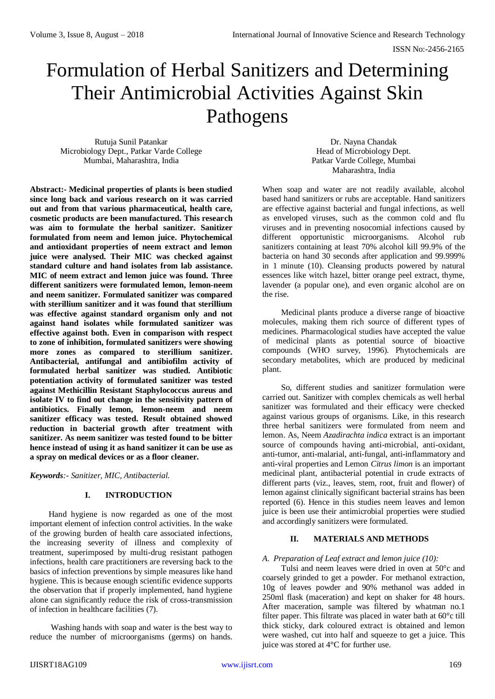# Formulation of Herbal Sanitizers and Determining Their Antimicrobial Activities Against Skin Pathogens

Rutuja Sunil Patankar Microbiology Dept., Patkar Varde College Mumbai, Maharashtra, India

Dr. Nayna Chandak Head of Microbiology Dept. Patkar Varde College, Mumbai Maharashtra, India

**Abstract:- Medicinal properties of plants is been studied since long back and various research on it was carried out and from that various pharmaceutical, health care, cosmetic products are been manufactured. This research was aim to formulate the herbal sanitizer. Sanitizer formulated from neem and lemon juice. Phytochemical and antioxidant properties of neem extract and lemon juice were analysed. Their MIC was checked against standard culture and hand isolates from lab assistance. MIC of neem extract and lemon juice was found. Three different sanitizers were formulated lemon, lemon-neem and neem sanitizer. Formulated sanitizer was compared with sterillium sanitizer and it was found that sterillium was effective against standard organism only and not against hand isolates while formulated sanitizer was effective against both. Even in comparison with respect to zone of inhibition, formulated sanitizers were showing more zones as compared to sterillium sanitizer. Antibacterial, antifungal and antibiofilm activity of formulated herbal sanitizer was studied. Antibiotic potentiation activity of formulated sanitizer was tested against Methicillin Resistant Staphylococcus aureus and isolate IV to find out change in the sensitivity pattern of antibiotics. Finally lemon, lemon-neem and neem sanitizer efficacy was tested. Result obtained showed reduction in bacterial growth after treatment with sanitizer. As neem sanitizer was tested found to be bitter hence instead of using it as hand sanitizer it can be use as a spray on medical devices or as a floor cleaner.**

*Keywords:- Sanitizer, MIC, Antibacterial.*

# **I. INTRODUCTION**

Hand hygiene is now regarded as one of the most important element of infection control activities. In the wake of the growing burden of health care associated infections, the increasing severity of illness and complexity of treatment, superimposed by multi-drug resistant pathogen infections, health care practitioners are reversing back to the basics of infection preventions by simple measures like hand hygiene. This is because enough scientific evidence supports the observation that if properly implemented, hand hygiene alone can significantly reduce the risk of cross-transmission of infection in healthcare facilities (7).

 Washing hands with soap and water is the best way to reduce the number of microorganisms (germs) on hands. When soap and water are not readily available, alcohol based hand sanitizers or rubs are acceptable. Hand sanitizers are effective against bacterial and fungal infections, as well as enveloped viruses, such as the common cold and flu viruses and in preventing nosocomial infections caused by different opportunistic microorganisms. Alcohol rub sanitizers containing at least 70% alcohol kill 99.9% of the bacteria on hand 30 seconds after application and 99.999% in 1 minute (10). Cleansing products powered by natural essences like witch hazel, bitter orange peel extract, thyme, lavender (a popular one), and even organic alcohol are on the rise.

Medicinal plants produce a diverse range of bioactive molecules, making them rich source of different types of medicines. Pharmacological studies have accepted the value of medicinal plants as potential source of bioactive compounds (WHO survey, 1996). Phytochemicals are secondary metabolites, which are produced by medicinal plant.

So, different studies and sanitizer formulation were carried out. Sanitizer with complex chemicals as well herbal sanitizer was formulated and their efficacy were checked against various groups of organisms. Like, in this research three herbal sanitizers were formulated from neem and lemon. As, Neem *Azadirachta indica* extract is an important source of compounds having anti-microbial, anti-oxidant, anti-tumor, anti-malarial, anti-fungal, anti-inflammatory and anti-viral properties and Lemon *Citrus limon* is an important medicinal plant, antibacterial potential in crude extracts of different parts (viz., leaves, stem, root, fruit and flower) of lemon against clinically significant bacterial strains has been reported (6). Hence in this studies neem leaves and lemon juice is been use their antimicrobial properties were studied and accordingly sanitizers were formulated.

# **II. MATERIALS AND METHODS**

# *A. Preparation of Leaf extract and lemon juice (10):*

Tulsi and neem leaves were dried in oven at 50°c and coarsely grinded to get a powder. For methanol extraction, 10g of leaves powder and 90% methanol was added in 250ml flask (maceration) and kept on shaker for 48 hours. After maceration, sample was filtered by whatman no.1 filter paper. This filtrate was placed in water bath at 60°c till thick sticky, dark coloured extract is obtained and lemon were washed, cut into half and squeeze to get a juice. This juice was stored at 4°C for further use.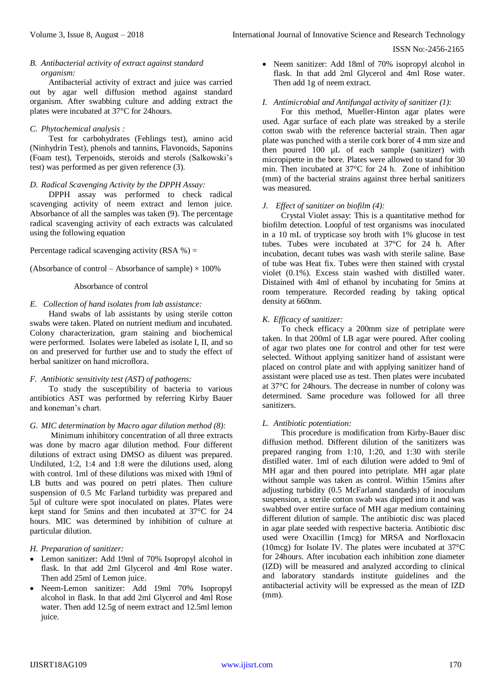# *B. Antibacterial activity of extract against standard organism:*

Antibacterial activity of extract and juice was carried out by agar well diffusion method against standard organism. After swabbing culture and adding extract the plates were incubated at 37°C for 24hours.

# *C. Phytochemical analysis :*

Test for carbohydrates (Fehlings test), amino acid (Ninhydrin Test), phenols and tannins, Flavonoids, Saponins (Foam test), Terpenoids, steroids and sterols (Salkowski's test) was performed as per given reference (3).

# *D. Radical Scavenging Activity by the DPPH Assay:*

DPPH assay was performed to check radical scavenging activity of neem extract and lemon juice. Absorbance of all the samples was taken (9). The percentage radical scavenging activity of each extracts was calculated using the following equation

# Percentage radical scavenging activity (RSA  $%$ ) =

(Absorbance of control – Absorbance of sample)  $\times$  100%

# Absorbance of control

# *E. Collection of hand isolates from lab assistance:*

Hand swabs of lab assistants by using sterile cotton swabs were taken. Plated on nutrient medium and incubated. Colony characterization, gram staining and biochemical were performed. Isolates were labeled as isolate I, II, and so on and preserved for further use and to study the effect of herbal sanitizer on hand microflora.

# *F. Antibiotic sensitivity test (AST) of pathogens:*

To study the susceptibility of bacteria to various antibiotics AST was performed by referring Kirby Bauer and koneman's chart.

# *G. MIC determination by Macro agar dilution method (8):*

Minimum inhibitory concentration of all three extracts was done by macro agar dilution method. Four different dilutions of extract using DMSO as diluent was prepared. Undiluted, 1:2, 1:4 and 1:8 were the dilutions used, along with control. 1ml of these dilutions was mixed with 19ml of LB butts and was poured on petri plates. Then culture suspension of 0.5 Mc Farland turbidity was prepared and 5µl of culture were spot inoculated on plates. Plates were kept stand for 5mins and then incubated at 37°C for 24 hours. MIC was determined by inhibition of culture at particular dilution.

# *H. Preparation of sanitizer:*

- Lemon sanitizer: Add 19ml of 70% Isopropyl alcohol in flask. In that add 2ml Glycerol and 4ml Rose water. Then add 25ml of Lemon juice.
- Neem-Lemon sanitizer: Add 19ml 70% Isopropyl alcohol in flask. In that add 2ml Glycerol and 4ml Rose water. Then add 12.5g of neem extract and 12.5ml lemon juice.

• Neem sanitizer: Add 18ml of 70% isopropyl alcohol in flask. In that add 2ml Glycerol and 4ml Rose water. Then add 1g of neem extract.

# *I. Antimicrobial and Antifungal activity of sanitizer (1):*

For this method, Mueller-Hinton agar plates were used. Agar surface of each plate was streaked by a sterile cotton swab with the reference bacterial strain. Then agar plate was punched with a sterile cork borer of 4 mm size and then poured 100 µL of each sample (sanitizer) with micropipette in the bore. Plates were allowed to stand for 30 min. Then incubated at 37°C for 24 h. Zone of inhibition (mm) of the bacterial strains against three herbal sanitizers was measured.

# *J. Effect of sanitizer on biofilm (4):*

Crystal Violet assay: This is a quantitative method for biofilm detection. Loopful of test organisms was inoculated in a 10 mL of trypticase soy broth with 1% glucose in test tubes. Tubes were incubated at 37°C for 24 h. After incubation, decant tubes was wash with sterile saline. Base of tube was Heat fix. Tubes were then stained with crystal violet (0.1%). Excess stain washed with distilled water. Distained with 4ml of ethanol by incubating for 5mins at room temperature. Recorded reading by taking optical density at 660nm.

# *K. Efficacy of sanitizer:*

To check efficacy a 200mm size of petriplate were taken. In that 200ml of LB agar were poured. After cooling of agar two plates one for control and other for test were selected. Without applying sanitizer hand of assistant were placed on control plate and with applying sanitizer hand of assistant were placed use as test. Then plates were incubated at 37°C for 24hours. The decrease in number of colony was determined. Same procedure was followed for all three sanitizers.

# *L. Antibiotic potentiation:*

This procedure is modification from Kirby-Bauer disc diffusion method. Different dilution of the sanitizers was prepared ranging from 1:10, 1:20, and 1:30 with sterile distilled water. 1ml of each dilution were added to 9ml of MH agar and then poured into petriplate. MH agar plate without sample was taken as control. Within 15mins after adjusting turbidity (0.5 McFarland standards) of inoculum suspension, a sterile cotton swab was dipped into it and was swabbed over entire surface of MH agar medium containing different dilution of sample. The antibiotic disc was placed in agar plate seeded with respective bacteria. Antibiotic disc used were Oxacillin (1mcg) for MRSA and Norfloxacin (10mcg) for Isolate IV. The plates were incubated at 37°C for 24hours. After incubation each inhibition zone diameter (IZD) will be measured and analyzed according to clinical and laboratory standards institute guidelines and the antibacterial activity will be expressed as the mean of IZD (mm).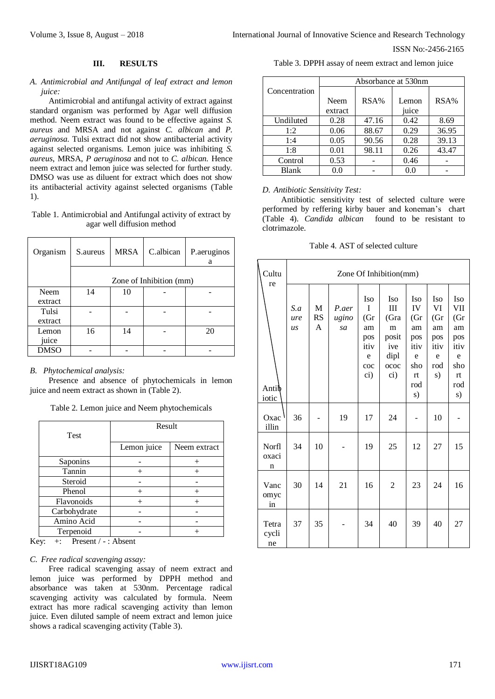#### **III. RESULTS**

#### *A. Antimicrobial and Antifungal of leaf extract and lemon juice:*

Antimicrobial and antifungal activity of extract against standard organism was performed by Agar well diffusion method. Neem extract was found to be effective against *S. aureus* and MRSA and not against *C. albican* and *P. aeruginosa.* Tulsi extract did not show antibacterial activity against selected organisms. Lemon juice was inhibiting *S. aureus*, MRSA, *P aeruginosa* and not to *C. albican.* Hence neem extract and lemon juice was selected for further study. DMSO was use as diluent for extract which does not show its antibacterial activity against selected organisms (Table 1).

Table 1. Antimicrobial and Antifungal activity of extract by agar well diffusion method

| Organism    | S. aureus | MRSA | C.albican               | P.aeruginos<br>a |
|-------------|-----------|------|-------------------------|------------------|
|             |           |      | Zone of Inhibition (mm) |                  |
| <b>Neem</b> | 14        | 10   |                         |                  |
| extract     |           |      |                         |                  |
| Tulsi       |           |      |                         |                  |
| extract     |           |      |                         |                  |
| Lemon       | 16        | 14   |                         | 20               |
| juice       |           |      |                         |                  |
| <b>DMSO</b> |           |      |                         |                  |

#### *B. Phytochemical analysis:*

Presence and absence of phytochemicals in lemon juice and neem extract as shown in (Table 2).

Table 2. Lemon juice and Neem phytochemicals

| <b>Test</b>  | Result      |              |  |
|--------------|-------------|--------------|--|
|              | Lemon juice | Neem extract |  |
| Saponins     |             |              |  |
| Tannin       |             |              |  |
| Steroid      |             |              |  |
| Phenol       |             |              |  |
| Flavonoids   |             |              |  |
| Carbohydrate |             |              |  |
| Amino Acid   |             |              |  |
| Terpenoid    |             |              |  |

Key:  $+$ : Present / - : Absent

#### *C. Free radical scavenging assay:*

Free radical scavenging assay of neem extract and lemon juice was performed by DPPH method and absorbance was taken at 530nm. Percentage radical scavenging activity was calculated by formula. Neem extract has more radical scavenging activity than lemon juice. Even diluted sample of neem extract and lemon juice shows a radical scavenging activity (Table 3).

Table 3. DPPH assay of neem extract and lemon juice

|               | Absorbance at 530nm |       |       |       |  |  |
|---------------|---------------------|-------|-------|-------|--|--|
| Concentration |                     |       |       |       |  |  |
|               | Neem                | RSA%  | Lemon | RSA%  |  |  |
|               | extract             |       | juice |       |  |  |
| Undiluted     | 0.28                | 47.16 | 0.42  | 8.69  |  |  |
| 1:2           | 0.06                | 88.67 | 0.29  | 36.95 |  |  |
| 1:4           | 0.05                | 90.56 | 0.28  | 39.13 |  |  |
| 1:8           | 0.01                | 98.11 | 0.26  | 43.47 |  |  |
| Control       | 0.53                |       | 0.46  |       |  |  |
| Blank         | 0.0                 |       | 0.0   |       |  |  |

## *D. Antibiotic Sensitivity Test:*

Antibiotic sensitivity test of selected culture were performed by reffering kirby bauer and koneman's chart (Table 4). *Candida albican* found to be resistant to clotrimazole.

| Table 4. AST of selected culture |  |  |
|----------------------------------|--|--|
|                                  |  |  |

| Cultu<br>re          |                                | Zone Of Inhibition(mm) |                      |                                                                        |                                                                     |                                                                        |                                                          |                                                                                |
|----------------------|--------------------------------|------------------------|----------------------|------------------------------------------------------------------------|---------------------------------------------------------------------|------------------------------------------------------------------------|----------------------------------------------------------|--------------------------------------------------------------------------------|
| Antib<br>iotic       | S.a<br>ure<br>$\overline{u}$ s | M<br><b>RS</b><br>A    | P.aer<br>ugino<br>sa | <b>Iso</b><br>T<br>(Gr)<br>am<br>pos<br>itiv<br>e<br>$\rm{coc}$<br>ci) | <b>Iso</b><br>Ш<br>(Gra<br>m<br>posit<br>ive<br>dipl<br>ococ<br>ci) | Iso<br>IV<br>(Gr)<br>am<br>pos<br>itiv<br>e<br>sho<br>rt.<br>rod<br>s) | Iso<br>VI<br>(Gr)<br>am<br>pos<br>itiv<br>e<br>rod<br>s) | <b>Iso</b><br>VII<br>(Gr)<br>am<br>pos<br>itiv<br>e<br>sho<br>rt.<br>rod<br>s) |
| Oxac<br>illin        | 36                             |                        | 19                   | 17                                                                     | 24                                                                  |                                                                        | 10                                                       |                                                                                |
| Norfl<br>oxaci<br>n  | 34                             | 10                     |                      | 19                                                                     | 25                                                                  | 12                                                                     | 27                                                       | 15                                                                             |
| Vanc<br>omyc<br>in   | 30                             | 14                     | 21                   | 16                                                                     | 2                                                                   | 23                                                                     | 24                                                       | 16                                                                             |
| Tetra<br>cycli<br>ne | 37                             | 35                     |                      | 34                                                                     | 40                                                                  | 39                                                                     | 40                                                       | 27                                                                             |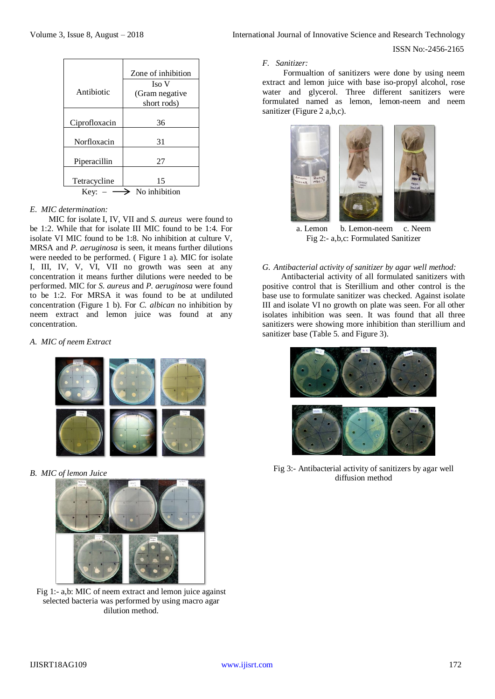| Sanitizer: |
|------------|
|            |

Formualtion of sanitizers were done by using neem extract and lemon juice with base iso-propyl alcohol, rose water and glycerol. Three different sanitizers were formulated named as lemon, lemon-neem and neem sanitizer (Figure 2 a,b,c).



a. Lemon b. Lemon-neem c. Neem Fig 2:- a,b,c: Formulated Sanitizer

## *G. Antibacterial activity of sanitizer by agar well method:*

Antibacterial activity of all formulated sanitizers with positive control that is Sterillium and other control is the base use to formulate sanitizer was checked. Against isolate III and isolate VI no growth on plate was seen. For all other isolates inhibition was seen. It was found that all three sanitizers were showing more inhibition than sterillium and sanitizer base (Table 5. and Figure 3).



Fig 3:- Antibacterial activity of sanitizers by agar well diffusion method

|               | Zone of inhibition |
|---------------|--------------------|
|               | Iso V              |
| Antibiotic    | (Gram negative     |
|               | short rods)        |
|               |                    |
| Ciprofloxacin | 36                 |
|               |                    |
| Norfloxacin   | 31                 |
|               |                    |
| Piperacillin  | 27                 |
|               |                    |
| Tetracycline  | 15                 |
| Key:          | No inhibition      |

#### *E. MIC determination:*

MIC for isolate I, IV, VII and *S. aureus* were found to be 1:2. While that for isolate III MIC found to be 1:4. For isolate VI MIC found to be 1:8. No inhibition at culture V, MRSA and *P. aeruginosa* is seen, it means further dilutions were needed to be performed. ( Figure 1 a). MIC for isolate I, III, IV, V, VI, VII no growth was seen at any concentration it means further dilutions were needed to be performed. MIC for *S. aureus* and *P. aeruginosa* were found to be 1:2. For MRSA it was found to be at undiluted concentration (Figure 1 b). For *C. albican* no inhibition by neem extract and lemon juice was found at any concentration.

#### *A. MIC of neem Extract*



*B. MIC of lemon Juice*



Fig 1:- a,b: MIC of neem extract and lemon juice against selected bacteria was performed by using macro agar dilution method.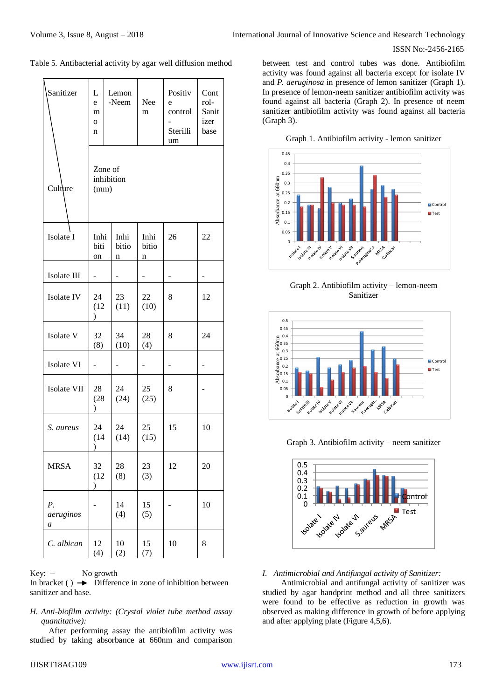Table 5. Antibacterial activity by agar well diffusion method

| Sanitizer            | L<br>e<br>m<br>$\mathbf{o}$<br>n | Lemon<br>-Neem     | Nee<br>m           | Positiv<br>e<br>control<br>Sterilli<br>um | Cont<br>rol-<br>Sanit<br>izer<br>base |
|----------------------|----------------------------------|--------------------|--------------------|-------------------------------------------|---------------------------------------|
| Culture              | Zone of<br>(mm)                  | inhibition         |                    |                                           |                                       |
| Isolate I            | Inhi<br>biti<br>on               | Inhi<br>bitio<br>n | Inhi<br>bitio<br>n | 26                                        | 22                                    |
| Isolate III          |                                  |                    |                    |                                           |                                       |
| Isolate IV           | 24<br>(12)<br>$\mathcal{E}$      | 23<br>(11)         | 22<br>(10)         | 8                                         | 12                                    |
| Isolate V            | 32<br>(8)                        | 34<br>(10)         | 28<br>(4)          | 8                                         | 24                                    |
| Isolate VI           |                                  |                    |                    |                                           |                                       |
| Isolate VII          | 28<br>(28)<br>℩                  | 24<br>(24)         | 25<br>(25)         | 8                                         |                                       |
| S. aureus            | 24<br>(14)<br>$\lambda$          | 24<br>(14)         | 25<br>(15)         | 15                                        | 10                                    |
| <b>MRSA</b>          | 32<br>(12)<br>$\mathcal{L}$      | 28<br>(8)          | 23<br>(3)          | 12                                        | 20                                    |
| P.<br>aeruginos<br>a |                                  | 14<br>(4)          | 15<br>(5)          |                                           | 10                                    |
| C. albican           | 12<br>(4)                        | 10<br>(2)          | 15<br>(7)          | 10                                        | 8                                     |

#### $Key: -$  No growth

In bracket ( )  $\rightarrow$  Difference in zone of inhibition between sanitizer and base.

## *H. Anti-biofilm activity: (Crystal violet tube method assay quantitative):*

After performing assay the antibiofilm activity was studied by taking absorbance at 660nm and comparison between test and control tubes was done. Antibiofilm activity was found against all bacteria except for isolate IV and *P. aeruginosa* in presence of lemon sanitizer (Graph 1). In presence of lemon-neem sanitizer antibiofilm activity was found against all bacteria (Graph 2). In presence of neem sanitizer antibiofilm activity was found against all bacteria (Graph 3).

Graph 1. Antibiofilm activity - lemon sanitizer



Graph 2. Antibiofilm activity – lemon-neem Sanitizer



Graph 3. Antibiofilm activity – neem sanitizer



# *I. Antimicrobial and Antifungal activity of Sanitizer:*

Antimicrobial and antifungal activity of sanitizer was studied by agar handprint method and all three sanitizers were found to be effective as reduction in growth was observed as making difference in growth of before applying and after applying plate (Figure 4,5,6).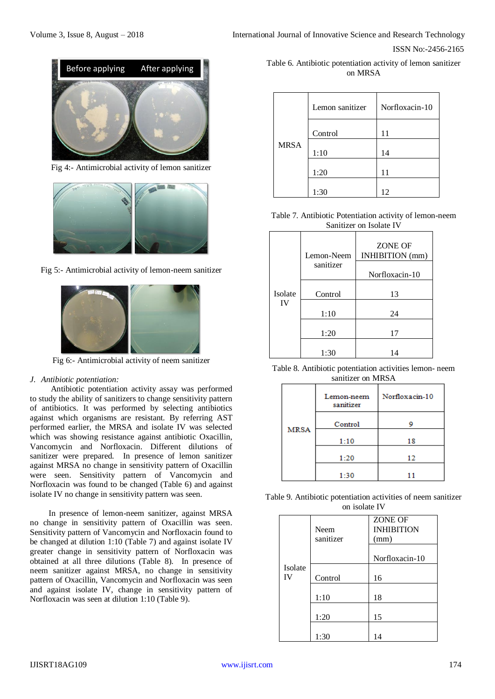

Fig 4:- Antimicrobial activity of lemon sanitizer



Fig 5:- Antimicrobial activity of lemon-neem sanitizer



Fig 6:- Antimicrobial activity of neem sanitizer

# *J. Antibiotic potentiation:*

Antibiotic potentiation activity assay was performed to study the ability of sanitizers to change sensitivity pattern of antibiotics. It was performed by selecting antibiotics against which organisms are resistant. By referring AST performed earlier, the MRSA and isolate IV was selected which was showing resistance against antibiotic Oxacillin, Vancomycin and Norfloxacin. Different dilutions of sanitizer were prepared. In presence of lemon sanitizer against MRSA no change in sensitivity pattern of Oxacillin were seen. Sensitivity pattern of Vancomycin and Norfloxacin was found to be changed (Table 6) and against isolate IV no change in sensitivity pattern was seen.

In presence of lemon-neem sanitizer, against MRSA no change in sensitivity pattern of Oxacillin was seen. Sensitivity pattern of Vancomycin and Norfloxacin found to be changed at dilution 1:10 (Table 7) and against isolate IV greater change in sensitivity pattern of Norfloxacin was obtained at all three dilutions (Table 8). In presence of neem sanitizer against MRSA, no change in sensitivity pattern of Oxacillin, Vancomycin and Norfloxacin was seen and against isolate IV, change in sensitivity pattern of Norfloxacin was seen at dilution 1:10 (Table 9).

Table 6. Antibiotic potentiation activity of lemon sanitizer on MRSA

|             | Lemon sanitizer | Norfloxacin-10 |
|-------------|-----------------|----------------|
|             | Control         | 11             |
| <b>MRSA</b> | 1:10            | 14             |
|             | 1:20            | 11             |
|             | 1:30            | 12             |

Table 7. Antibiotic Potentiation activity of lemon-neem Sanitizer on Isolate IV

|         | Lemon-Neem<br>sanitizer | ZONE OF<br>INHIBITION (mm)<br>Norfloxacin-10 |
|---------|-------------------------|----------------------------------------------|
| Isolate | Control                 | 13                                           |
| IV      | 1:10                    | 24                                           |
|         | 1:20                    | 17                                           |
|         | 1:30                    | 14                                           |

| Table 8. Antibiotic potentiation activities lemon-neem |
|--------------------------------------------------------|
| sanitizer on MRSA                                      |

|             | Lemon-neem<br>sanitizer | Norfloxacin-10 |
|-------------|-------------------------|----------------|
| <b>MRSA</b> | Control                 |                |
|             | 1:10                    | 18             |
|             | 1:20                    | 12             |
|             | 1:30                    |                |

| Table 9. Antibiotic potentiation activities of neem sanitizer |  |  |  |
|---------------------------------------------------------------|--|--|--|
| on isolate IV                                                 |  |  |  |

|         |           | ZONE OF           |  |
|---------|-----------|-------------------|--|
|         | Neem      | <b>INHIBITION</b> |  |
|         | sanitizer | (mm)              |  |
|         |           |                   |  |
|         |           | Norfloxacin-10    |  |
| Isolate |           |                   |  |
| IV      | Control   | 16                |  |
|         |           |                   |  |
|         | 1:10      | 18                |  |
|         |           |                   |  |
|         | 1:20      | 15                |  |
|         |           |                   |  |
|         | 1:30      | 14                |  |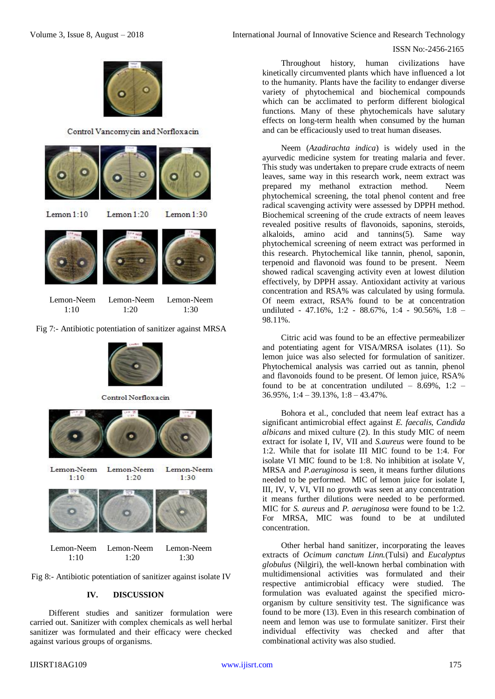Volume 3, Issue 8, August – 2018 **International Journal of Innovative Science and Research Technology** 

#### ISSN No:-2456-2165



Control Vancomycin and Norfloxacin







Lemon-Neem Lemon-Neem Lemon-Neem 1:10 1:20 1:30





Control Norfloxacin



Lemon-Neem Lemon-Neem Lemon-Neem<br>1:10 1:20 1:30 1:10 1:20 1:30

Fig 8:- Antibiotic potentiation of sanitizer against isolate IV

# **IV. DISCUSSION**

Different studies and sanitizer formulation were carried out. Sanitizer with complex chemicals as well herbal sanitizer was formulated and their efficacy were checked against various groups of organisms.

Throughout history, human civilizations have kinetically circumvented plants which have influenced a lot to the humanity. Plants have the facility to endanger diverse variety of phytochemical and biochemical compounds which can be acclimated to perform different biological functions. Many of these phytochemicals have salutary effects on long-term health when consumed by the human and can be efficaciously used to treat human diseases.

Neem (*Azadirachta indica*) is widely used in the ayurvedic medicine system for treating malaria and fever. This study was undertaken to prepare crude extracts of neem leaves, same way in this research work, neem extract was prepared my methanol extraction method. Neem phytochemical screening, the total phenol content and free radical scavenging activity were assessed by DPPH method. Biochemical screening of the crude extracts of neem leaves revealed positive results of flavonoids, saponins, steroids, alkaloids, amino acid and tannins(5). Same way phytochemical screening of neem extract was performed in this research. Phytochemical like tannin, phenol, saponin, terpenoid and flavonoid was found to be present. Neem showed radical scavenging activity even at lowest dilution effectively, by DPPH assay. Antioxidant activity at various concentration and RSA% was calculated by using formula. Of neem extract, RSA% found to be at concentration undiluted - 47.16%, 1:2 - 88.67%, 1:4 - 90.56%, 1:8 – 98.11%.

Citric acid was found to be an effective permeabilizer and potentiating agent for VISA/MRSA isolates (11). So lemon juice was also selected for formulation of sanitizer. Phytochemical analysis was carried out as tannin, phenol and flavonoids found to be present. Of lemon juice, RSA% found to be at concentration undiluted  $-8.69\%$ , 1:2 – 36.95%, 1:4 – 39.13%, 1:8 – 43.47%.

Bohora et al., concluded that neem leaf extract has a significant antimicrobial effect against *E. faecalis, Candida albicans* and mixed culture (2). In this study MIC of neem extract for isolate I, IV, VII and *S.aureus* were found to be 1:2. While that for isolate III MIC found to be 1:4. For isolate VI MIC found to be 1:8. No inhibition at isolate V, MRSA and *P.aeruginosa* is seen, it means further dilutions needed to be performed. MIC of lemon juice for isolate I, III, IV, V, VI, VII no growth was seen at any concentration it means further dilutions were needed to be performed. MIC for *S. aureus* and *P. aeruginosa* were found to be 1:2. For MRSA, MIC was found to be at undiluted concentration.

Other herbal hand sanitizer, incorporating the leaves extracts of *Ocimum canctum Linn.*(Tulsi) and *Eucalyptus globulus* (Nilgiri), the well-known herbal combination with multidimensional activities was formulated and their respective antimicrobial efficacy were studied. The formulation was evaluated against the specified microorganism by culture sensitivity test. The significance was found to be more (13). Even in this research combination of neem and lemon was use to formulate sanitizer. First their individual effectivity was checked and after that combinational activity was also studied.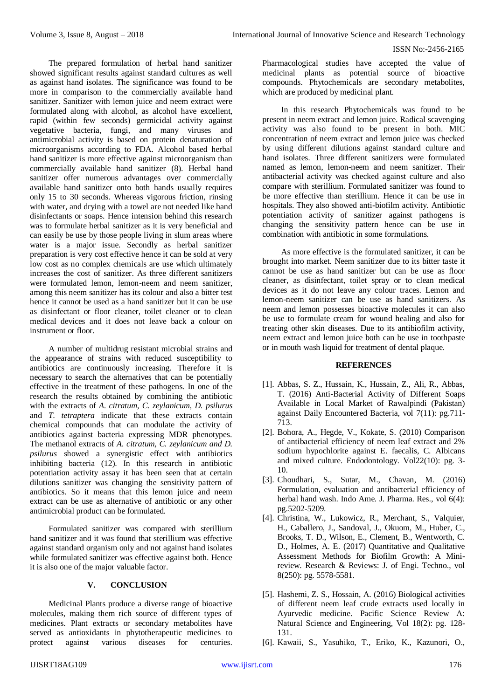The prepared formulation of herbal hand sanitizer showed significant results against standard cultures as well as against hand isolates. The significance was found to be more in comparison to the commercially available hand sanitizer. Sanitizer with lemon juice and neem extract were formulated along with alcohol, as alcohol have excellent, rapid (within few seconds) germicidal activity against vegetative bacteria, fungi, and many viruses and antimicrobial activity is based on protein denaturation of microorganisms according to FDA. Alcohol based herbal hand sanitizer is more effective against microorganism than commercially available hand sanitizer (8). Herbal hand sanitizer offer numerous advantages over commercially available hand sanitizer onto both hands usually requires only 15 to 30 seconds. Whereas vigorous friction, rinsing with water, and drying with a towel are not needed like hand disinfectants or soaps. Hence intension behind this research was to formulate herbal sanitizer as it is very beneficial and can easily be use by those people living in slum areas where water is a major issue. Secondly as herbal sanitizer preparation is very cost effective hence it can be sold at very low cost as no complex chemicals are use which ultimately increases the cost of sanitizer. As three different sanitizers were formulated lemon, lemon-neem and neem sanitizer, among this neem sanitizer has its colour and also a bitter test hence it cannot be used as a hand sanitizer but it can be use as disinfectant or floor cleaner, toilet cleaner or to clean medical devices and it does not leave back a colour on instrument or floor.

A number of multidrug resistant microbial strains and the appearance of strains with reduced susceptibility to antibiotics are continuously increasing. Therefore it is necessary to search the alternatives that can be potentially effective in the treatment of these pathogens. In one of the research the results obtained by combining the antibiotic with the extracts of *A. citratum, C. zeylanicum, D. psilurus* and *T. tetraptera* indicate that these extracts contain chemical compounds that can modulate the activity of antibiotics against bacteria expressing MDR phenotypes. The methanol extracts of *A. citratum, C. zeylanicum and D. psilurus* showed a synergistic effect with antibiotics inhibiting bacteria (12). In this research in antibiotic potentiation activity assay it has been seen that at certain dilutions sanitizer was changing the sensitivity pattern of antibiotics. So it means that this lemon juice and neem extract can be use as alternative of antibiotic or any other antimicrobial product can be formulated.

Formulated sanitizer was compared with sterillium hand sanitizer and it was found that sterillium was effective against standard organism only and not against hand isolates while formulated sanitizer was effective against both. Hence it is also one of the major valuable factor.

# **V. CONCLUSION**

Medicinal Plants produce a diverse range of bioactive molecules, making them rich source of different types of medicines. Plant extracts or secondary metabolites have served as antioxidants in phytotherapeutic medicines to protect against various diseases for centuries.

In this research Phytochemicals was found to be present in neem extract and lemon juice. Radical scavenging activity was also found to be present in both. MIC concentration of neem extract and lemon juice was checked by using different dilutions against standard culture and hand isolates. Three different sanitizers were formulated named as lemon, lemon-neem and neem sanitizer. Their antibacterial activity was checked against culture and also compare with sterillium. Formulated sanitizer was found to be more effective than sterillium. Hence it can be use in hospitals. They also showed anti-biofilm activity. Antibiotic potentiation activity of sanitizer against pathogens is changing the sensitivity pattern hence can be use in combination with antibiotic in some formulations.

As more effective is the formulated sanitizer, it can be brought into market. Neem sanitizer due to its bitter taste it cannot be use as hand sanitizer but can be use as floor cleaner, as disinfectant, toilet spray or to clean medical devices as it do not leave any colour traces. Lemon and lemon-neem sanitizer can be use as hand sanitizers. As neem and lemon possesses bioactive molecules it can also be use to formulate cream for wound healing and also for treating other skin diseases. Due to its antibiofilm activity, neem extract and lemon juice both can be use in toothpaste or in mouth wash liquid for treatment of dental plaque.

#### **REFERENCES**

- [1]. Abbas, S. Z., Hussain, K., Hussain, Z., Ali, R., Abbas, T. (2016) Anti-Bacterial Activity of Different Soaps Available in Local Market of Rawalpindi (Pakistan) against Daily Encountered Bacteria, vol 7(11): pg.711- 713.
- [2]. Bohora, A., Hegde, V., Kokate, S. (2010) Comparison of antibacterial efficiency of neem leaf extract and 2% sodium hypochlorite against E. faecalis, C. Albicans and mixed culture. Endodontology. Vol22(10): pg. 3- 10.
- [3]. Choudhari, S., Sutar, M., Chavan, M. (2016) Formulation, evaluation and antibacterial efficiency of herbal hand wash. Indo Ame. J. Pharma. Res., vol 6(4): pg.5202-5209.
- [4]. Christina, W., Lukowicz, R., Merchant, S., Valquier, H., Caballero, J., Sandoval, J., Okuom, M., Huber, C., Brooks, T. D., Wilson, E., Clement, B., Wentworth, C. D., Holmes, A. E. (2017) Quantitative and Qualitative Assessment Methods for Biofilm Growth: A Minireview. Research & Reviews: J. of Engi. Techno., vol 8(250): pg. 5578-5581.
- [5]. Hashemi, Z. S., Hossain, A. (2016) Biological activities of different neem leaf crude extracts used locally in Ayurvedic medicine. Pacific Science Review A: Natural Science and Engineering, Vol 18(2): pg. 128- 131.
- [6]. Kawaii, S., Yasuhiko, T., Eriko, K., Kazunori, O.,